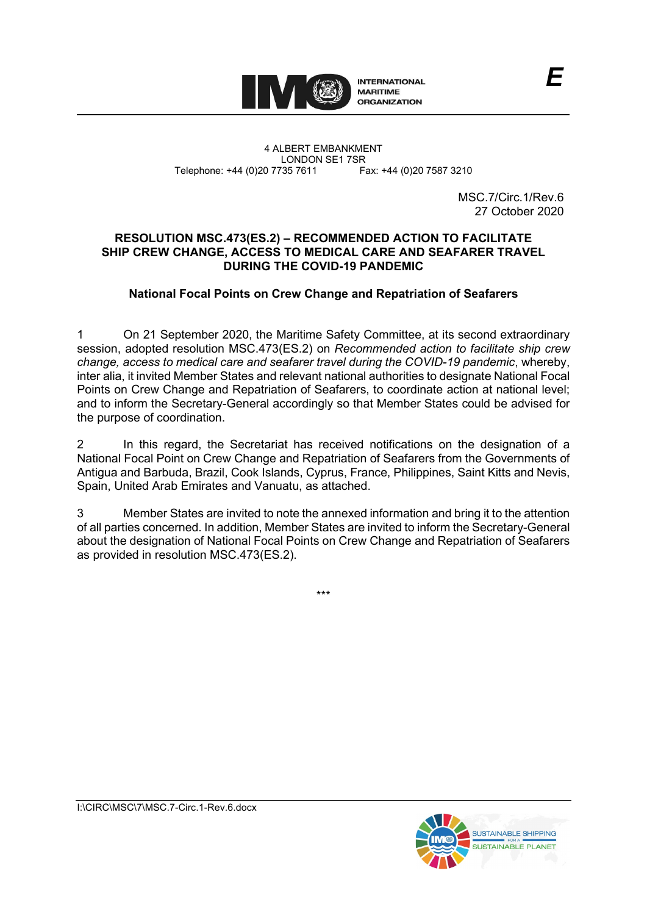

4 ALBERT EMBANKMENT Telephone: +44 (0)20 7735 7611

LONDON SE1 7SR<br>735 7611 Fax: +44 (0)20 7587 3210

MSC.7/Circ.1/Rev.6 27 October 2020

## **RESOLUTION MSC.473(ES.2) – RECOMMENDED ACTION TO FACILITATE SHIP CREW CHANGE, ACCESS TO MEDICAL CARE AND SEAFARER TRAVEL DURING THE COVID-19 PANDEMIC**

# **National Focal Points on Crew Change and Repatriation of Seafarers**

1 On 21 September 2020, the Maritime Safety Committee, at its second extraordinary session, adopted resolution MSC.473(ES.2) on *Recommended action to facilitate ship crew change, access to medical care and seafarer travel during the COVID-19 pandemic*, whereby, inter alia, it invited Member States and relevant national authorities to designate National Focal Points on Crew Change and Repatriation of Seafarers, to coordinate action at national level; and to inform the Secretary-General accordingly so that Member States could be advised for the purpose of coordination.

2 In this regard, the Secretariat has received notifications on the designation of a National Focal Point on Crew Change and Repatriation of Seafarers from the Governments of Antigua and Barbuda, Brazil, Cook Islands, Cyprus, France, Philippines, Saint Kitts and Nevis, Spain, United Arab Emirates and Vanuatu, as attached.

3 Member States are invited to note the annexed information and bring it to the attention of all parties concerned. In addition, Member States are invited to inform the Secretary-General about the designation of National Focal Points on Crew Change and Repatriation of Seafarers as provided in resolution MSC.473(ES.2).

\*\*\*

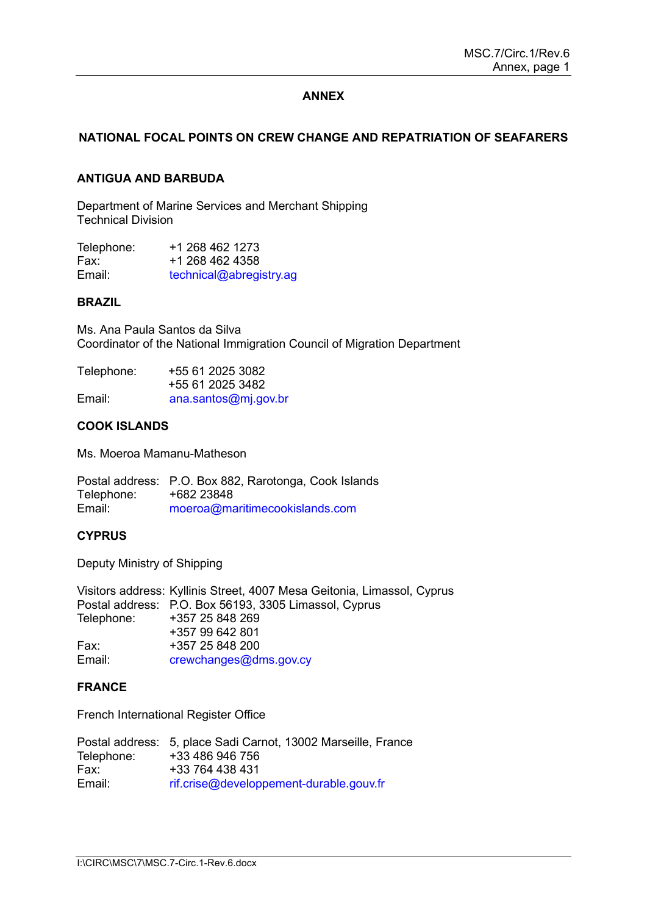## **ANNEX**

## **NATIONAL FOCAL POINTS ON CREW CHANGE AND REPATRIATION OF SEAFARERS**

#### **ANTIGUA AND BARBUDA**

Department of Marine Services and Merchant Shipping Technical Division

| Telephone: | +1 268 462 1273         |
|------------|-------------------------|
| Fax:       | +1 268 462 4358         |
| Email:     | technical@abregistry.ag |

#### **BRAZIL**

Ms. Ana Paula Santos da Silva Coordinator of the National Immigration Council of Migration Department

| Telephone: | +55 61 2025 3082     |
|------------|----------------------|
|            | +55 61 2025 3482     |
| Email:     | ana.santos@mj.gov.br |

## **COOK ISLANDS**

Ms. Moeroa Mamanu-Matheson

Postal address: P.O. Box 882, Rarotonga, Cook Islands Telephone:<br>Fmail<sup>.</sup> moeroa@maritimecookislands.com

#### **CYPRUS**

Deputy Ministry of Shipping

Visitors address: Kyllinis Street, 4007 Mesa Geitonia, Limassol, Cyprus Postal address: P.O. Box 56193, 3305 Limassol, Cyprus Telephone: +357 25 848 269 +357 99 642 801 Fax: +357 25 848 200<br>Email: crewchanges@dr [crewchanges@dms.gov.cy](mailto:crewchanges@dms.gov.cy)

#### **FRANCE**

French International Register Office

|            | Postal address: 5, place Sadi Carnot, 13002 Marseille, France |
|------------|---------------------------------------------------------------|
| Telephone: | +33 486 946 756                                               |
| Fax:       | +33 764 438 431                                               |
| Email:     | rif.crise@developpement-durable.gouv.fr                       |